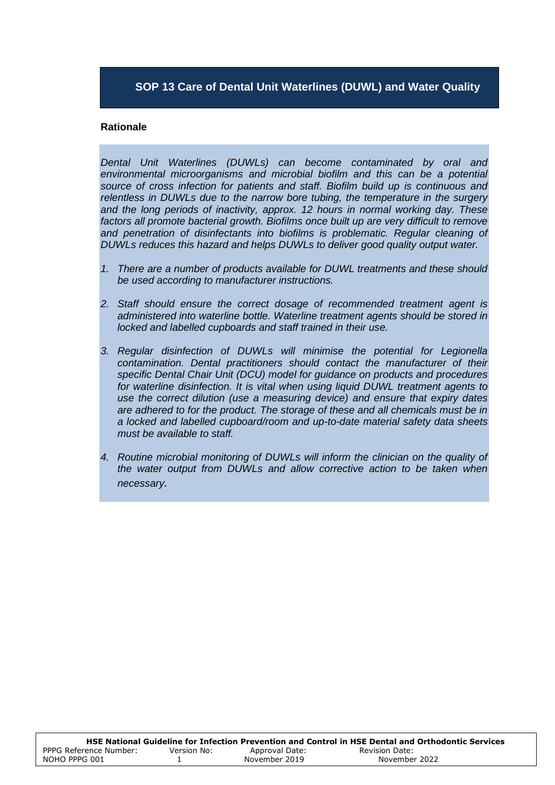## **SOP 13 Care of Dental Unit Waterlines (DUWL) and Water Quality**

#### **Rationale**

*Dental Unit Waterlines (DUWLs) can become contaminated by oral and environmental microorganisms and microbial biofilm and this can be a potential source of cross infection for patients and staff. Biofilm build up is continuous and relentless in DUWLs due to the narrow bore tubing, the temperature in the surgery and the long periods of inactivity, approx. 12 hours in normal working day. These*  factors all promote bacterial growth. Biofilms once built up are very difficult to remove and penetration of disinfectants into biofilms is problematic. Regular cleaning of *DUWLs reduces this hazard and helps DUWLs to deliver good quality output water.*

- *1. There are a number of products available for DUWL treatments and these should be used according to manufacturer instructions.*
- *2. Staff should ensure the correct dosage of recommended treatment agent is administered into waterline bottle. Waterline treatment agents should be stored in locked and labelled cupboards and staff trained in their use.*
- *3. Regular disinfection of DUWLs will minimise the potential for Legionella contamination. Dental practitioners should contact the manufacturer of their specific Dental Chair Unit (DCU) model for guidance on products and procedures for waterline disinfection. It is vital when using liquid DUWL treatment agents to use the correct dilution (use a measuring device) and ensure that expiry dates are adhered to for the product. The storage of these and all chemicals must be in a locked and labelled cupboard/room and up-to-date material safety data sheets must be available to staff.*
- *4. Routine microbial monitoring of DUWLs will inform the clinician on the quality of the water output from DUWLs and allow corrective action to be taken when necessary.*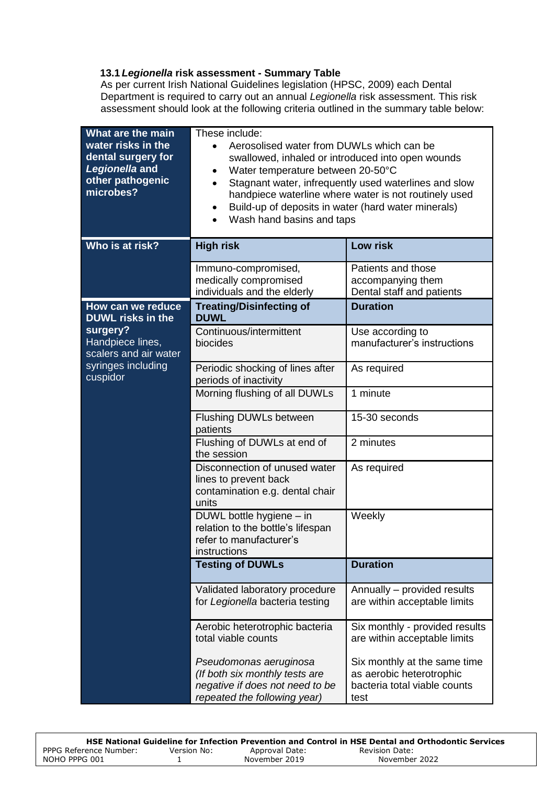### **13.1** *Legionella* **risk assessment - Summary Table**

As per current Irish National Guidelines legislation (HPSC, 2009) each Dental Department is required to carry out an annual *Legionella* risk assessment. This risk assessment should look at the following criteria outlined in the summary table below:

| What are the main<br>water risks in the<br>dental surgery for<br>Legionella and<br>other pathogenic<br>microbes? | These include:<br>Aerosolised water from DUWLs which can be<br>swallowed, inhaled or introduced into open wounds<br>Water temperature between 20-50°C<br>$\bullet$<br>Stagnant water, infrequently used waterlines and slow<br>$\bullet$<br>handpiece waterline where water is not routinely used<br>Build-up of deposits in water (hard water minerals)<br>٠<br>Wash hand basins and taps<br>$\bullet$ |                                                                                                  |  |
|------------------------------------------------------------------------------------------------------------------|---------------------------------------------------------------------------------------------------------------------------------------------------------------------------------------------------------------------------------------------------------------------------------------------------------------------------------------------------------------------------------------------------------|--------------------------------------------------------------------------------------------------|--|
| Who is at risk?                                                                                                  | <b>High risk</b>                                                                                                                                                                                                                                                                                                                                                                                        | <b>Low risk</b>                                                                                  |  |
|                                                                                                                  | Immuno-compromised,<br>medically compromised<br>individuals and the elderly                                                                                                                                                                                                                                                                                                                             | Patients and those<br>accompanying them<br>Dental staff and patients                             |  |
| How can we reduce<br><b>DUWL risks in the</b>                                                                    | <b>Treating/Disinfecting of</b><br><b>DUWL</b>                                                                                                                                                                                                                                                                                                                                                          | <b>Duration</b>                                                                                  |  |
| surgery?<br>Handpiece lines,<br>scalers and air water                                                            | Continuous/intermittent<br>biocides                                                                                                                                                                                                                                                                                                                                                                     | Use according to<br>manufacturer's instructions                                                  |  |
| syringes including<br>cuspidor                                                                                   | Periodic shocking of lines after<br>periods of inactivity                                                                                                                                                                                                                                                                                                                                               | As required                                                                                      |  |
|                                                                                                                  | Morning flushing of all DUWLs                                                                                                                                                                                                                                                                                                                                                                           | 1 minute                                                                                         |  |
|                                                                                                                  | <b>Flushing DUWLs between</b><br>patients                                                                                                                                                                                                                                                                                                                                                               | 15-30 seconds                                                                                    |  |
|                                                                                                                  | Flushing of DUWLs at end of<br>the session                                                                                                                                                                                                                                                                                                                                                              | 2 minutes                                                                                        |  |
|                                                                                                                  | Disconnection of unused water<br>lines to prevent back<br>contamination e.g. dental chair<br>units                                                                                                                                                                                                                                                                                                      | As required                                                                                      |  |
|                                                                                                                  | DUWL bottle hygiene - in<br>relation to the bottle's lifespan<br>refer to manufacturer's<br>instructions                                                                                                                                                                                                                                                                                                | Weekly                                                                                           |  |
|                                                                                                                  | <b>Testing of DUWLs</b>                                                                                                                                                                                                                                                                                                                                                                                 | <b>Duration</b>                                                                                  |  |
|                                                                                                                  | Validated laboratory procedure<br>for Legionella bacteria testing                                                                                                                                                                                                                                                                                                                                       | Annually - provided results<br>are within acceptable limits                                      |  |
|                                                                                                                  | Aerobic heterotrophic bacteria<br>total viable counts                                                                                                                                                                                                                                                                                                                                                   | Six monthly - provided results<br>are within acceptable limits                                   |  |
|                                                                                                                  | Pseudomonas aeruginosa<br>(If both six monthly tests are<br>negative if does not need to be<br>repeated the following year)                                                                                                                                                                                                                                                                             | Six monthly at the same time<br>as aerobic heterotrophic<br>bacteria total viable counts<br>test |  |

|                        |             |                | HSE National Guideline for Infection Prevention and Control in HSE Dental and Orthodontic Services |
|------------------------|-------------|----------------|----------------------------------------------------------------------------------------------------|
| PPPG Reference Number: | Version No: | Approval Date: | Revision Date:                                                                                     |
| NOHO PPPG 001          |             | November 2019  | November 2022                                                                                      |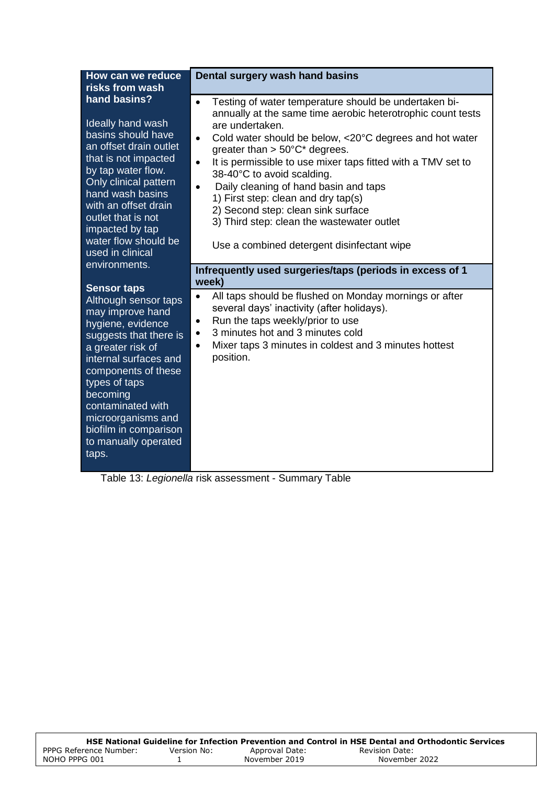| How can we reduce<br>risks from wash                                                                                                                                                                                                                                                                                                                                                                                                                                                                                                                                                                                               | Dental surgery wash hand basins                                                                                                                                                                                                                                                                                                                                                                                                                                                                                                                                                                                                                                                                                                                                                                                                                                                                                                                                             |
|------------------------------------------------------------------------------------------------------------------------------------------------------------------------------------------------------------------------------------------------------------------------------------------------------------------------------------------------------------------------------------------------------------------------------------------------------------------------------------------------------------------------------------------------------------------------------------------------------------------------------------|-----------------------------------------------------------------------------------------------------------------------------------------------------------------------------------------------------------------------------------------------------------------------------------------------------------------------------------------------------------------------------------------------------------------------------------------------------------------------------------------------------------------------------------------------------------------------------------------------------------------------------------------------------------------------------------------------------------------------------------------------------------------------------------------------------------------------------------------------------------------------------------------------------------------------------------------------------------------------------|
| hand basins?<br>Ideally hand wash<br>basins should have<br>an offset drain outlet<br>that is not impacted<br>by tap water flow.<br>Only clinical pattern<br>hand wash basins<br>with an offset drain<br>outlet that is not<br>impacted by tap<br>water flow should be<br>used in clinical<br>environments.<br><b>Sensor taps</b><br>Although sensor taps<br>may improve hand<br>hygiene, evidence<br>suggests that there is<br>a greater risk of<br>internal surfaces and<br>components of these<br>types of taps<br>becoming<br>contaminated with<br>microorganisms and<br>biofilm in comparison<br>to manually operated<br>taps. | Testing of water temperature should be undertaken bi-<br>$\bullet$<br>annually at the same time aerobic heterotrophic count tests<br>are undertaken.<br>Cold water should be below, <20°C degrees and hot water<br>$\bullet$<br>greater than $> 50^{\circ}$ C* degrees.<br>It is permissible to use mixer taps fitted with a TMV set to<br>$\bullet$<br>38-40°C to avoid scalding.<br>Daily cleaning of hand basin and taps<br>$\bullet$<br>1) First step: clean and dry tap(s)<br>2) Second step: clean sink surface<br>3) Third step: clean the wastewater outlet<br>Use a combined detergent disinfectant wipe<br>Infrequently used surgeries/taps (periods in excess of 1<br>week)<br>All taps should be flushed on Monday mornings or after<br>$\bullet$<br>several days' inactivity (after holidays).<br>Run the taps weekly/prior to use<br>3 minutes hot and 3 minutes cold<br>٠<br>Mixer taps 3 minutes in coldest and 3 minutes hottest<br>$\bullet$<br>position. |

Table 13: *Legionella* risk assessment - Summary Table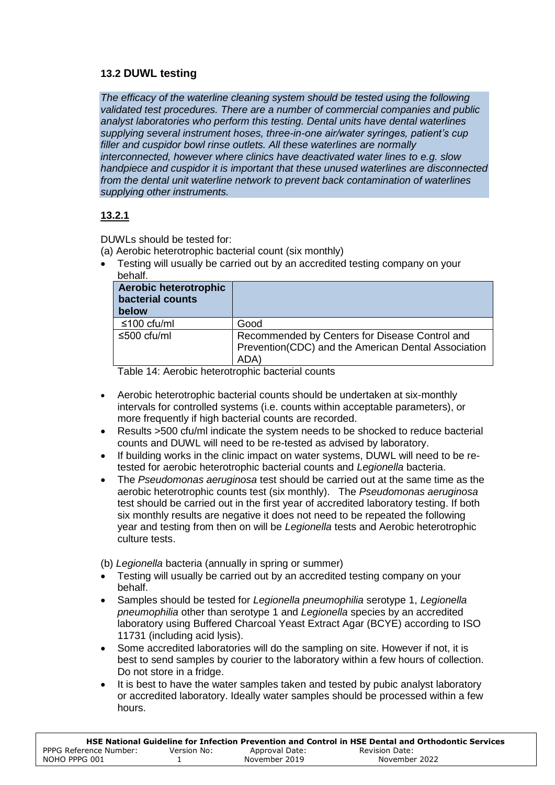## **13.2 DUWL testing**

*The efficacy of the waterline cleaning system should be tested using the following validated test procedures. There are a number of commercial companies and public analyst laboratories who perform this testing. Dental units have dental waterlines supplying several instrument hoses, three-in-one air/water syringes, patient's cup filler and cuspidor bowl rinse outlets. All these waterlines are normally interconnected, however where clinics have deactivated water lines to e.g. slow handpiece and cuspidor it is important that these unused waterlines are disconnected from the dental unit waterline network to prevent back contamination of waterlines supplying other instruments.*

# **13.2.1**

DUWLs should be tested for:

- (a) Aerobic heterotrophic bacterial count (six monthly)
- Testing will usually be carried out by an accredited testing company on your behalf.

| <b>Aerobic heterotrophic</b><br>bacterial counts<br>below |                                                                                                               |
|-----------------------------------------------------------|---------------------------------------------------------------------------------------------------------------|
| ≤100 cfu/ml                                               | Good                                                                                                          |
| ≤500 cfu/ml                                               | Recommended by Centers for Disease Control and<br>Prevention(CDC) and the American Dental Association<br>ADA) |

Table 14: Aerobic heterotrophic bacterial counts

- Aerobic heterotrophic bacterial counts should be undertaken at six-monthly intervals for controlled systems (i.e. counts within acceptable parameters), or more frequently if high bacterial counts are recorded.
- Results >500 cfu/ml indicate the system needs to be shocked to reduce bacterial counts and DUWL will need to be re-tested as advised by laboratory.
- If building works in the clinic impact on water systems, DUWL will need to be retested for aerobic heterotrophic bacterial counts and *Legionella* bacteria.
- The *Pseudomonas aeruginosa* test should be carried out at the same time as the aerobic heterotrophic counts test (six monthly). The *Pseudomonas aeruginosa* test should be carried out in the first year of accredited laboratory testing. If both six monthly results are negative it does not need to be repeated the following year and testing from then on will be *Legionella* tests and Aerobic heterotrophic culture tests.

(b) *Legionella* bacteria (annually in spring or summer)

- Testing will usually be carried out by an accredited testing company on your behalf.
- Samples should be tested for *Legionella pneumophilia* serotype 1, *Legionella pneumophilia* other than serotype 1 and *Legionella* species by an accredited laboratory using Buffered Charcoal Yeast Extract Agar (BCYE) according to ISO 11731 (including acid lysis).
- Some accredited laboratories will do the sampling on site. However if not, it is best to send samples by courier to the laboratory within a few hours of collection. Do not store in a fridge.
- It is best to have the water samples taken and tested by pubic analyst laboratory or accredited laboratory. Ideally water samples should be processed within a few hours.

|                        |             |                | HSE National Guideline for Infection Prevention and Control in HSE Dental and Orthodontic Services |
|------------------------|-------------|----------------|----------------------------------------------------------------------------------------------------|
| PPPG Reference Number: | Version No: | Approval Date: | Revision Date:                                                                                     |
| NOHO PPPG 001          |             | November 2019  | November 2022                                                                                      |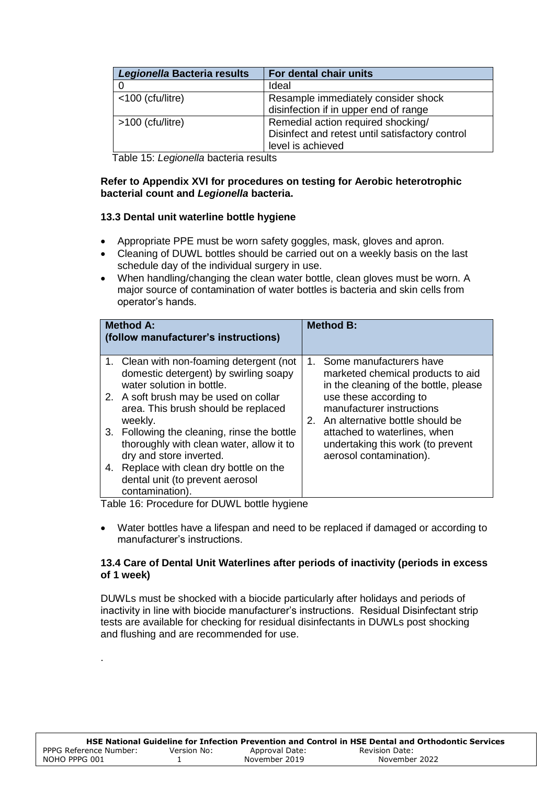| Legionella Bacteria results | For dental chair units                          |
|-----------------------------|-------------------------------------------------|
|                             | Ideal                                           |
| <100 (cfu/litre)            | Resample immediately consider shock             |
|                             | disinfection if in upper end of range           |
| >100 (cfu/litre)            | Remedial action required shocking/              |
|                             | Disinfect and retest until satisfactory control |
|                             | level is achieved                               |

Table 15: *Legionella* bacteria results

### **Refer to Appendix XVI for procedures on testing for Aerobic heterotrophic bacterial count and** *Legionella* **bacteria.**

## **13.3 Dental unit waterline bottle hygiene**

- Appropriate PPE must be worn safety goggles, mask, gloves and apron.
- Cleaning of DUWL bottles should be carried out on a weekly basis on the last schedule day of the individual surgery in use.
- When handling/changing the clean water bottle, clean gloves must be worn. A major source of contamination of water bottles is bacteria and skin cells from operator's hands.

| <b>Method A:</b><br>(follow manufacturer's instructions) |                                                                                                                                                                                                                                                                                                                                                                                                                               |         | <b>Method B:</b>                                                                                                                                                                                                                                                                                   |
|----------------------------------------------------------|-------------------------------------------------------------------------------------------------------------------------------------------------------------------------------------------------------------------------------------------------------------------------------------------------------------------------------------------------------------------------------------------------------------------------------|---------|----------------------------------------------------------------------------------------------------------------------------------------------------------------------------------------------------------------------------------------------------------------------------------------------------|
| 4.                                                       | 1. Clean with non-foaming detergent (not<br>domestic detergent) by swirling soapy<br>water solution in bottle.<br>2. A soft brush may be used on collar<br>area. This brush should be replaced<br>weekly.<br>3. Following the cleaning, rinse the bottle<br>thoroughly with clean water, allow it to<br>dry and store inverted.<br>Replace with clean dry bottle on the<br>dental unit (to prevent aerosol<br>contamination). | $1_{-}$ | Some manufacturers have<br>marketed chemical products to aid<br>in the cleaning of the bottle, please<br>use these according to<br>manufacturer instructions<br>2. An alternative bottle should be<br>attached to waterlines, when<br>undertaking this work (to prevent<br>aerosol contamination). |

Table 16: Procedure for DUWL bottle hygiene

.

 Water bottles have a lifespan and need to be replaced if damaged or according to manufacturer's instructions.

#### **13.4 Care of Dental Unit Waterlines after periods of inactivity (periods in excess of 1 week)**

DUWLs must be shocked with a biocide particularly after holidays and periods of inactivity in line with biocide manufacturer's instructions. Residual Disinfectant strip tests are available for checking for residual disinfectants in DUWLs post shocking and flushing and are recommended for use.

|                        |             |                | HSE National Guideline for Infection Prevention and Control in HSE Dental and Orthodontic Services |
|------------------------|-------------|----------------|----------------------------------------------------------------------------------------------------|
| PPPG Reference Number: | Version No: | Approval Date: | Revision Date:                                                                                     |
| NOHO PPPG 001          |             | November 2019  | November 2022                                                                                      |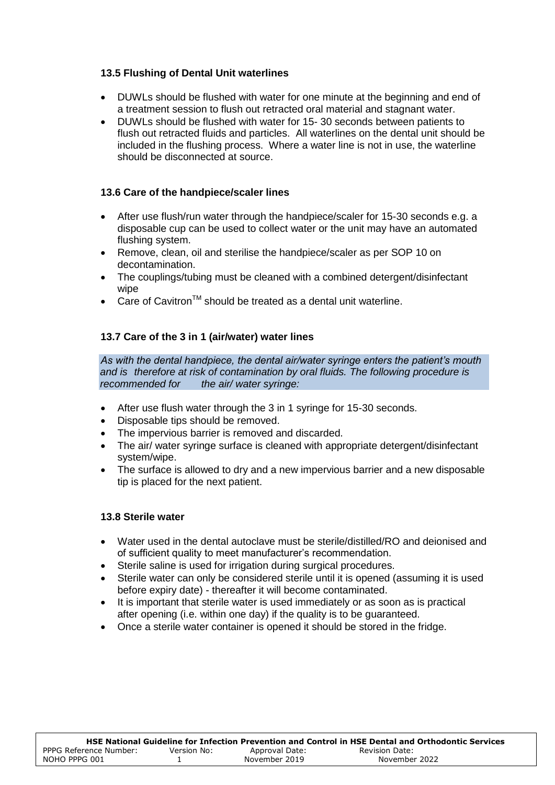## **13.5 Flushing of Dental Unit waterlines**

- DUWLs should be flushed with water for one minute at the beginning and end of a treatment session to flush out retracted oral material and stagnant water.
- DUWLs should be flushed with water for 15- 30 seconds between patients to flush out retracted fluids and particles. All waterlines on the dental unit should be included in the flushing process. Where a water line is not in use, the waterline should be disconnected at source.

## **13.6 Care of the handpiece/scaler lines**

- After use flush/run water through the handpiece/scaler for 15-30 seconds e.g. a disposable cup can be used to collect water or the unit may have an automated flushing system.
- Remove, clean, oil and sterilise the handpiece/scaler as per SOP 10 on decontamination.
- The couplings/tubing must be cleaned with a combined detergent/disinfectant wipe
- Care of Cavitron<sup>™</sup> should be treated as a dental unit waterline.

## **13.7 Care of the 3 in 1 (air/water) water lines**

*As with the dental handpiece, the dental air/water syringe enters the patient's mouth*  and is therefore at risk of contamination by oral fluids. The following procedure is recommended for the air/ water syringe: *the air/ water syringe:* 

- After use flush water through the 3 in 1 syringe for 15-30 seconds.
- Disposable tips should be removed.
- The impervious barrier is removed and discarded.
- The air/ water syringe surface is cleaned with appropriate detergent/disinfectant system/wipe.
- The surface is allowed to dry and a new impervious barrier and a new disposable tip is placed for the next patient.

#### **13.8 Sterile water**

- Water used in the dental autoclave must be sterile/distilled/RO and deionised and of sufficient quality to meet manufacturer's recommendation.
- Sterile saline is used for irrigation during surgical procedures.
- Sterile water can only be considered sterile until it is opened (assuming it is used before expiry date) - thereafter it will become contaminated.
- It is important that sterile water is used immediately or as soon as is practical after opening (i.e. within one day) if the quality is to be guaranteed.
- Once a sterile water container is opened it should be stored in the fridge.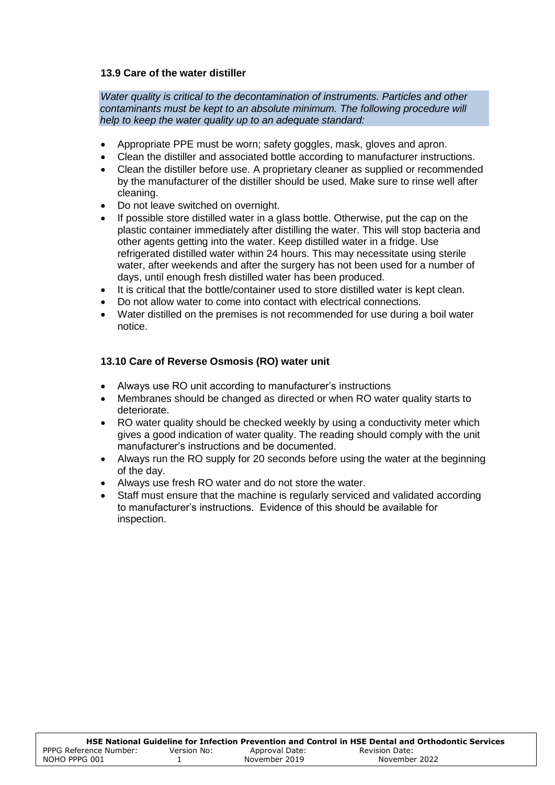#### **13.9 Care of the water distiller**

*Water quality is critical to the decontamination of instruments. Particles and other contaminants must be kept to an absolute minimum. The following procedure will help to keep the water quality up to an adequate standard:*

- Appropriate PPE must be worn; safety goggles, mask, gloves and apron.
- Clean the distiller and associated bottle according to manufacturer instructions.
- Clean the distiller before use. A proprietary cleaner as supplied or recommended by the manufacturer of the distiller should be used. Make sure to rinse well after cleaning.
- Do not leave switched on overnight.
- If possible store distilled water in a glass bottle. Otherwise, put the cap on the plastic container immediately after distilling the water. This will stop bacteria and other agents getting into the water. Keep distilled water in a fridge. Use refrigerated distilled water within 24 hours. This may necessitate using sterile water, after weekends and after the surgery has not been used for a number of days, until enough fresh distilled water has been produced.
- It is critical that the bottle/container used to store distilled water is kept clean.
- Do not allow water to come into contact with electrical connections.
- Water distilled on the premises is not recommended for use during a boil water notice.

#### **13.10 Care of Reverse Osmosis (RO) water unit**

- Always use RO unit according to manufacturer's instructions
- Membranes should be changed as directed or when RO water quality starts to deteriorate.
- RO water quality should be checked weekly by using a conductivity meter which gives a good indication of water quality. The reading should comply with the unit manufacturer's instructions and be documented.
- Always run the RO supply for 20 seconds before using the water at the beginning of the day.
- Always use fresh RO water and do not store the water.
- Staff must ensure that the machine is regularly serviced and validated according to manufacturer's instructions. Evidence of this should be available for inspection.

|                        |             |                | HSE National Guideline for Infection Prevention and Control in HSE Dental and Orthodontic Services |
|------------------------|-------------|----------------|----------------------------------------------------------------------------------------------------|
| PPPG Reference Number: | Version No: | Approval Date: | <b>Revision Date:</b>                                                                              |
| NOHO PPPG 001          |             | November 2019  | November 2022                                                                                      |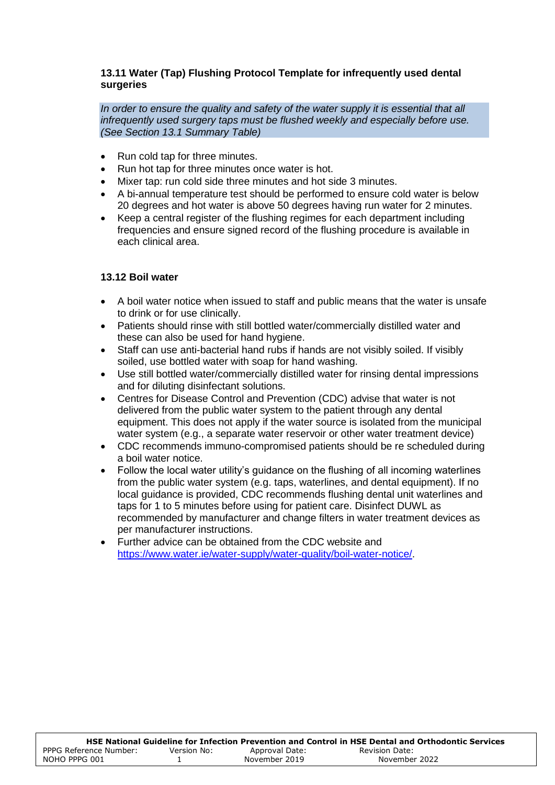#### **13.11 Water (Tap) Flushing Protocol Template for infrequently used dental surgeries**

*In order to ensure the quality and safety of the water supply it is essential that all infrequently used surgery taps must be flushed weekly and especially before use. (See Section 13.1 Summary Table)*

- Run cold tap for three minutes.
- Run hot tap for three minutes once water is hot.
- Mixer tap: run cold side three minutes and hot side 3 minutes.
- A bi-annual temperature test should be performed to ensure cold water is below 20 degrees and hot water is above 50 degrees having run water for 2 minutes.
- Keep a central register of the flushing regimes for each department including frequencies and ensure signed record of the flushing procedure is available in each clinical area.

## **13.12 Boil water**

- A boil water notice when issued to staff and public means that the water is unsafe to drink or for use clinically.
- Patients should rinse with still bottled water/commercially distilled water and these can also be used for hand hygiene.
- Staff can use anti-bacterial hand rubs if hands are not visibly soiled. If visibly soiled, use bottled water with soap for hand washing.
- Use still bottled water/commercially distilled water for rinsing dental impressions and for diluting disinfectant solutions.
- Centres for Disease Control and Prevention (CDC) advise that water is not delivered from the public water system to the patient through any dental equipment. This does not apply if the water source is isolated from the municipal water system (e.g., a separate water reservoir or other water treatment device)
- CDC recommends immuno-compromised patients should be re scheduled during a boil water notice.
- Follow the local water utility's guidance on the flushing of all incoming waterlines from the public water system (e.g. taps, waterlines, and dental equipment). If no local guidance is provided, CDC recommends flushing dental unit waterlines and taps for 1 to 5 minutes before using for patient care. Disinfect DUWL as recommended by manufacturer and change filters in water treatment devices as per manufacturer instructions.
- Further advice can be obtained from the CDC website and [https://www.water.ie/water-supply/water-quality/boil-water-notice/.](https://www.water.ie/water-supply/water-quality/boil-water-notice/)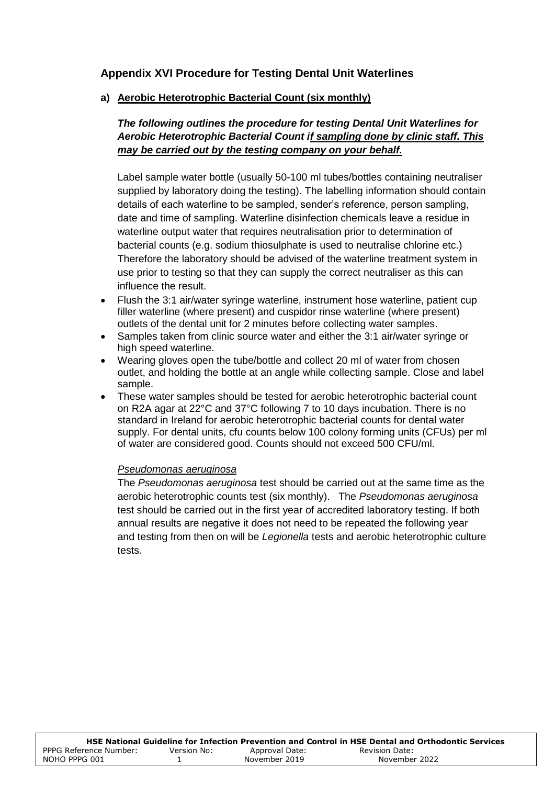# **Appendix XVI Procedure for Testing Dental Unit Waterlines**

**a) Aerobic Heterotrophic Bacterial Count (six monthly)**

# *The following outlines the procedure for testing Dental Unit Waterlines for Aerobic Heterotrophic Bacterial Count if sampling done by clinic staff. This may be carried out by the testing company on your behalf.*

Label sample water bottle (usually 50-100 ml tubes/bottles containing neutraliser supplied by laboratory doing the testing). The labelling information should contain details of each waterline to be sampled, sender's reference, person sampling, date and time of sampling. Waterline disinfection chemicals leave a residue in waterline output water that requires neutralisation prior to determination of bacterial counts (e.g. sodium thiosulphate is used to neutralise chlorine etc.) Therefore the laboratory should be advised of the waterline treatment system in use prior to testing so that they can supply the correct neutraliser as this can influence the result.

- Flush the 3:1 air/water syringe waterline, instrument hose waterline, patient cup filler waterline (where present) and cuspidor rinse waterline (where present) outlets of the dental unit for 2 minutes before collecting water samples.
- Samples taken from clinic source water and either the 3:1 air/water syringe or high speed waterline.
- Wearing gloves open the tube/bottle and collect 20 ml of water from chosen outlet, and holding the bottle at an angle while collecting sample. Close and label sample.
- These water samples should be tested for aerobic heterotrophic bacterial count on R2A agar at 22°C and 37°C following 7 to 10 days incubation. There is no standard in Ireland for aerobic heterotrophic bacterial counts for dental water supply. For dental units, cfu counts below 100 colony forming units (CFUs) per ml of water are considered good. Counts should not exceed 500 CFU/ml.

#### *Pseudomonas aeruginosa*

The *Pseudomonas aeruginosa* test should be carried out at the same time as the aerobic heterotrophic counts test (six monthly). The *Pseudomonas aeruginosa* test should be carried out in the first year of accredited laboratory testing. If both annual results are negative it does not need to be repeated the following year and testing from then on will be *Legionella* tests and aerobic heterotrophic culture tests.